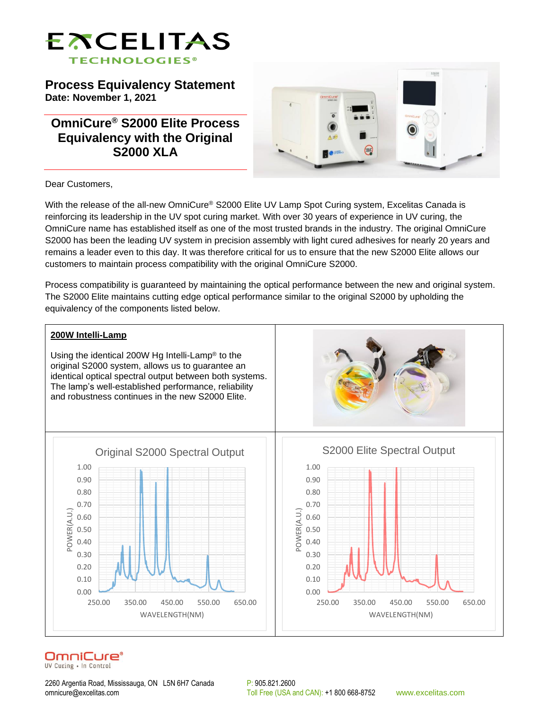

**Process Equivalency Statement Date: November 1, 2021**

**OmniCure® S2000 Elite Process Equivalency with the Original S2000 XLA**



Dear Customers,

With the release of the all-new OmniCure® S2000 Elite UV Lamp Spot Curing system, Excelitas Canada is reinforcing its leadership in the UV spot curing market. With over 30 years of experience in UV curing, the OmniCure name has established itself as one of the most trusted brands in the industry. The original OmniCure S2000 has been the leading UV system in precision assembly with light cured adhesives for nearly 20 years and remains a leader even to this day. It was therefore critical for us to ensure that the new S2000 Elite allows our customers to maintain process compatibility with the original OmniCure S2000.

Process compatibility is guaranteed by maintaining the optical performance between the new and original system. The S2000 Elite maintains cutting edge optical performance similar to the original S2000 by upholding the equivalency of the components listed below.



# OmniCure®

UV Curing . In Control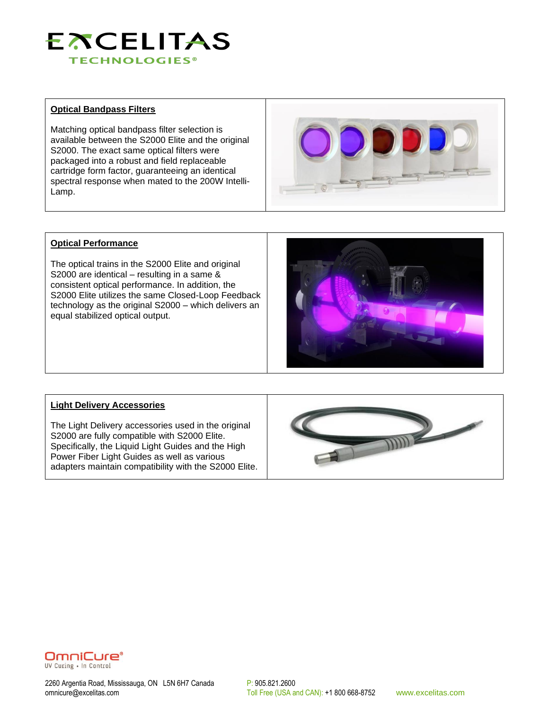

# **Optical Bandpass Filters**

Matching optical bandpass filter selection is available between the S2000 Elite and the original S2000. The exact same optical filters were packaged into a robust and field replaceable cartridge form factor, guaranteeing an identical spectral response when mated to the 200W Intelli-Lamp.



#### **Optical Performance**

The optical trains in the S2000 Elite and original S2000 are identical – resulting in a same & consistent optical performance. In addition, the S2000 Elite utilizes the same Closed-Loop Feedback technology as the original S2000 – which delivers an equal stabilized optical output.



### **Light Delivery Accessories**

The Light Delivery accessories used in the original S2000 are fully compatible with S2000 Elite. Specifically, the Liquid Light Guides and the High Power Fiber Light Guides as well as various adapters maintain compatibility with the S2000 Elite.





2260 Argentia Road, Mississauga, ON L5N 6H7 Canada P: 905.821.2600